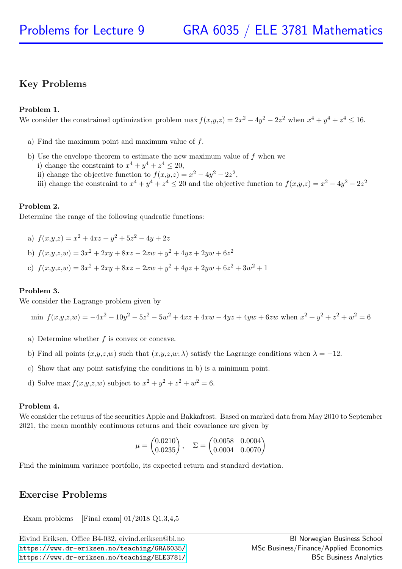## Key Problems

### Problem 1.

We consider the constrained optimization problem max  $f(x,y,z) = 2x^2 - 4y^2 - 2z^2$  when  $x^4 + y^4 + z^4 \le 16$ .

- a) Find the maximum point and maximum value of  $f$ .
- b) Use the envelope theorem to estimate the new maximum value of  $f$  when we
	- i) change the constraint to  $x^4 + y^4 + z^4 \leq 20$ ,
	- ii) change the objective function to  $f(x,y,z) = x^2 4y^2 2z^2$ ,
	- iii) change the constraint to  $x^4 + y^4 + z^4 \le 20$  and the objective function to  $f(x,y,z) = x^2 4y^2 2z^2$

### Problem 2.

Determine the range of the following quadratic functions:

- a)  $f(x,y,z) = x^2 + 4xz + y^2 + 5z^2 4y + 2z$
- b)  $f(x,y,z,w) = 3x^2 + 2xy + 8xz 2xw + y^2 + 4yz + 2yw + 6z^2$
- c)  $f(x,y,z,w) = 3x^2 + 2xy + 8xz 2xw + y^2 + 4yz + 2yw + 6z^2 + 3w^2 + 1$

### Problem 3.

We consider the Lagrange problem given by

$$
\min f(x,y,z,w) = -4x^2 - 10y^2 - 5z^2 - 5w^2 + 4xz + 4xw - 4yz + 4yw + 6zw \text{ when } x^2 + y^2 + z^2 + w^2 = 6
$$

- a) Determine whether  $f$  is convex or concave.
- b) Find all points  $(x,y,z,w)$  such that  $(x,y,z,w; \lambda)$  satisfy the Lagrange conditions when  $\lambda = -12$ .
- c) Show that any point satisfying the conditions in b) is a minimum point.
- d) Solve max  $f(x,y,z,w)$  subject to  $x^2 + y^2 + z^2 + w^2 = 6$ .

### Problem 4.

We consider the returns of the securities Apple and Bakkafrost. Based on marked data from May 2010 to September 2021, the mean monthly continuous returns and their covariance are given by

$$
\mu = \begin{pmatrix} 0.0210 \\ 0.0235 \end{pmatrix}, \quad \Sigma = \begin{pmatrix} 0.0058 & 0.0004 \\ 0.0004 & 0.0070 \end{pmatrix}
$$

Find the minimum variance portfolio, its expected return and standard deviation.

### Exercise Problems

Exam problems [Final exam] 01/2018 Q1,3,4,5

Eivind Eriksen, Office B4-032, eivind.eriksen@bi.no <https://www.dr-eriksen.no/teaching/GRA6035/> <https://www.dr-eriksen.no/teaching/ELE3781/>